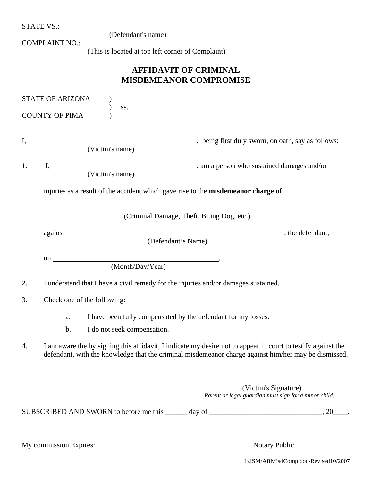|    | STATE VS.: (Defendant's name)                                                                                |
|----|--------------------------------------------------------------------------------------------------------------|
|    | COMPLAINT NO.: (This is located at top left corner of Complaint)                                             |
|    |                                                                                                              |
|    | <b>AFFIDAVIT OF CRIMINAL</b>                                                                                 |
|    | <b>MISDEMEANOR COMPROMISE</b>                                                                                |
|    |                                                                                                              |
|    | STATE OF ARIZONA                                                                                             |
|    | SS.<br><b>COUNTY OF PIMA</b>                                                                                 |
|    |                                                                                                              |
|    |                                                                                                              |
|    |                                                                                                              |
|    |                                                                                                              |
| 1. |                                                                                                              |
|    |                                                                                                              |
|    | injuries as a result of the accident which gave rise to the misdemeanor charge of                            |
|    |                                                                                                              |
|    |                                                                                                              |
|    | (Criminal Damage, Theft, Biting Dog, etc.)                                                                   |
|    |                                                                                                              |
|    | (Defendant's Name)                                                                                           |
|    |                                                                                                              |
|    | on $\sqrt{\frac{(Monthly \cdot \text{Year})}{(Month/\text{Day}/\text{Year})}}$                               |
|    |                                                                                                              |
| 2. | I understand that I have a civil remedy for the injuries and/or damages sustained.                           |
| 3. | Check one of the following:                                                                                  |
|    |                                                                                                              |
|    | I have been fully compensated by the defendant for my losses.<br>$\alpha$ .                                  |
|    | I do not seek compensation.<br>b.                                                                            |
| 4. | I am aware the by signing this affidavit, I indicate my desire not to appear in court to testify against the |
|    | defendant, with the knowledge that the criminal misdemeanor charge against him/her may be dismissed.         |
|    |                                                                                                              |
|    |                                                                                                              |
|    | (Victim's Signature)                                                                                         |
|    | Parent or legal guardian must sign for a minor child.                                                        |
|    | SUBSCRIBED AND SWORN to before me this ______ day of ____________________________, 20_                       |
|    |                                                                                                              |
|    |                                                                                                              |
|    |                                                                                                              |

My commission Expires: Notary Public